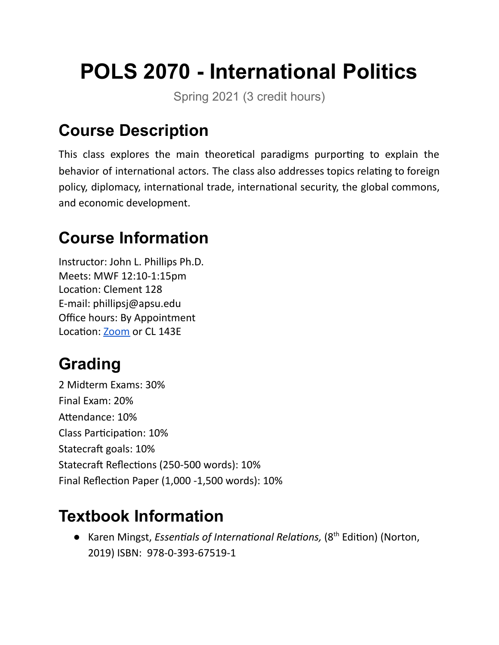# **POLS 2070 - International Politics**

Spring 2021 (3 credit hours)

## **Course Description**

This class explores the main theoretical paradigms purporting to explain the behavior of international actors. The class also addresses topics relating to foreign policy, diplomacy, international trade, international security, the global commons, and economic development.

## **Course Information**

Instructor: John L. Phillips Ph.D. Meets: MWF 12:10-1:15pm Location: Clement 128 E-mail: phillipsj@apsu.edu Office hours: By Appointment Location: [Zoom](https://apsu.zoom.us/j/6352672679) or CL 143E

## **Grading**

2 Midterm Exams: 30% Final Exam: 20% Attendance: 10% Class Participation: 10% Statecraft goals: 10% Statecraft Reflections (250-500 words): 10% Final Reflection Paper (1,000 -1,500 words):  $10\%$ 

## **Textbook Information**

● Karen Mingst, *Essentials of International Relations*, (8<sup>th</sup> Edition) (Norton, 2019) ISBN: 978-0-393-67519-1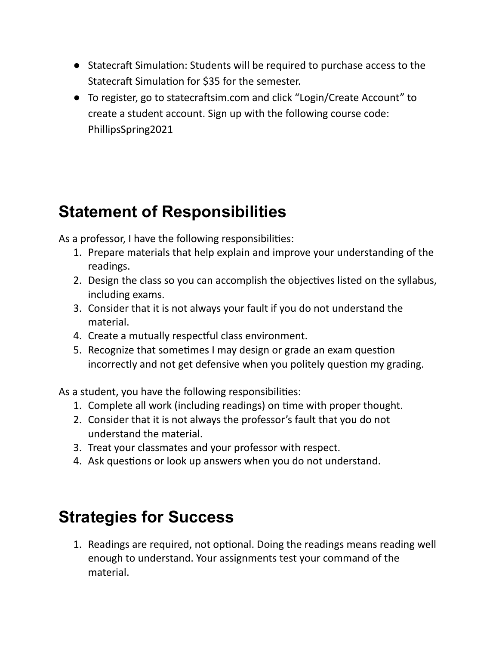- Statecraft Simulation: Students will be required to purchase access to the Statecraft Simulation for \$35 for the semester.
- To register, go to statecraftsim.com and click "Login/Create Account" to create a student account. Sign up with the following course code: PhillipsSpring2021

## **Statement of Responsibilities**

As a professor, I have the following responsibilities:

- 1. Prepare materials that help explain and improve your understanding of the readings.
- 2. Design the class so you can accomplish the objectives listed on the syllabus, including exams.
- 3. Consider that it is not always your fault if you do not understand the material.
- 4. Create a mutually respectful class environment.
- 5. Recognize that sometimes I may design or grade an exam question incorrectly and not get defensive when you politely question my grading.

As a student, you have the following responsibilities:

- 1. Complete all work (including readings) on time with proper thought.
- 2. Consider that it is not always the professor's fault that you do not understand the material.
- 3. Treat your classmates and your professor with respect.
- 4. Ask questions or look up answers when you do not understand.

## **Strategies for Success**

1. Readings are required, not optional. Doing the readings means reading well enough to understand. Your assignments test your command of the material.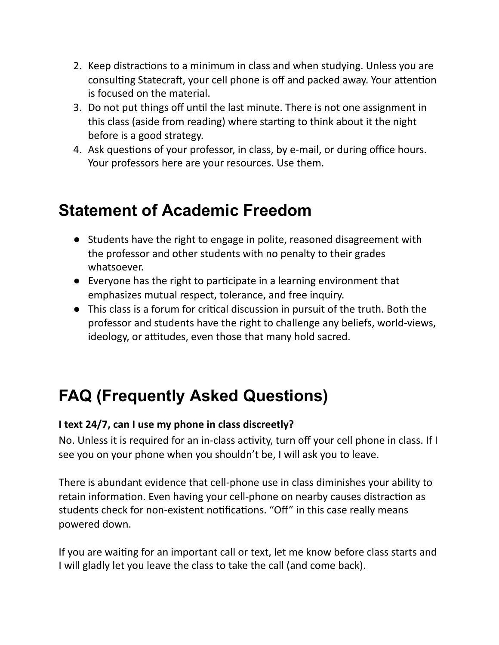- 2. Keep distractions to a minimum in class and when studying. Unless you are consulting Statecraft, your cell phone is off and packed away. Your attention is focused on the material.
- 3. Do not put things off until the last minute. There is not one assignment in this class (aside from reading) where starting to think about it the night before is a good strategy.
- 4. Ask questions of your professor, in class, by e-mail, or during office hours. Your professors here are your resources. Use them.

## **Statement of Academic Freedom**

- Students have the right to engage in polite, reasoned disagreement with the professor and other students with no penalty to their grades whatsoever.
- Everyone has the right to participate in a learning environment that emphasizes mutual respect, tolerance, and free inquiry.
- This class is a forum for critical discussion in pursuit of the truth. Both the professor and students have the right to challenge any beliefs, world-views, ideology, or attitudes, even those that many hold sacred.

## **FAQ (Frequently Asked Questions)**

#### **I text 24/7, can I use my phone in class discreetly?**

No. Unless it is required for an in-class activity, turn off your cell phone in class. If I see you on your phone when you shouldn't be, I will ask you to leave.

There is abundant evidence that cell-phone use in class diminishes your ability to retain information. Even having your cell-phone on nearby causes distraction as students check for non-existent notifications. "Off" in this case really means powered down.

If you are waiting for an important call or text, let me know before class starts and I will gladly let you leave the class to take the call (and come back).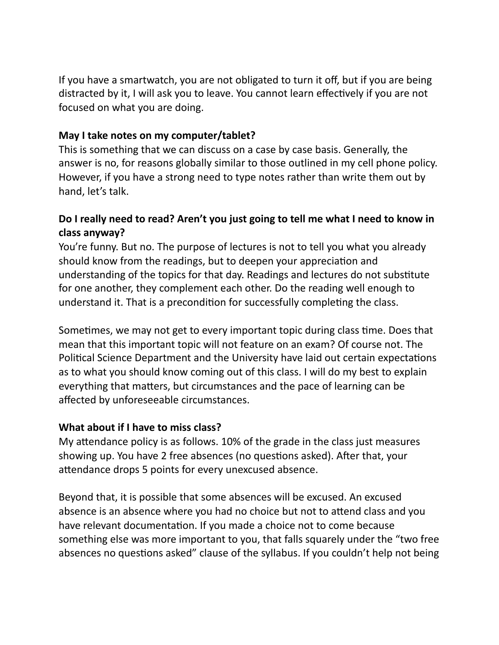If you have a smartwatch, you are not obligated to turn it off, but if you are being distracted by it, I will ask you to leave. You cannot learn effectively if you are not focused on what you are doing.

#### **May I take notes on my computer/tablet?**

This is something that we can discuss on a case by case basis. Generally, the answer is no, for reasons globally similar to those outlined in my cell phone policy. However, if you have a strong need to type notes rather than write them out by hand, let's talk.

#### **Do I really need to read? Aren't you just going to tell me what I need to know in class anyway?**

You're funny. But no. The purpose of lectures is not to tell you what you already should know from the readings, but to deepen your appreciation and understanding of the topics for that day. Readings and lectures do not substitute for one another, they complement each other. Do the reading well enough to understand it. That is a precondition for successfully completing the class.

Sometimes, we may not get to every important topic during class time. Does that mean that this important topic will not feature on an exam? Of course not. The Political Science Department and the University have laid out certain expectations as to what you should know coming out of this class. I will do my best to explain everything that matters, but circumstances and the pace of learning can be affected by unforeseeable circumstances.

#### **What about if I have to miss class?**

My attendance policy is as follows. 10% of the grade in the class just measures showing up. You have 2 free absences (no questions asked). After that, your attendance drops 5 points for every unexcused absence.

Beyond that, it is possible that some absences will be excused. An excused absence is an absence where you had no choice but not to attend class and you have relevant documentation. If you made a choice not to come because something else was more important to you, that falls squarely under the "two free absences no questions asked" clause of the syllabus. If you couldn't help not being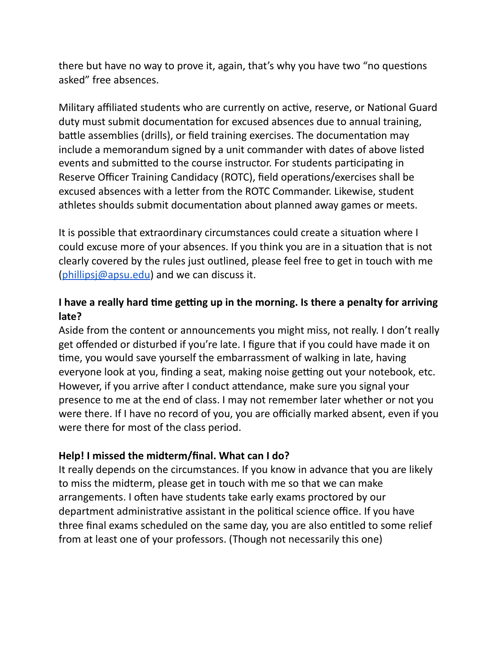there but have no way to prove it, again, that's why you have two "no questions asked" free absences.

Military affiliated students who are currently on active, reserve, or National Guard duty must submit documentation for excused absences due to annual training, battle assemblies (drills), or field training exercises. The documentation may include a memorandum signed by a unit commander with dates of above listed events and submitted to the course instructor. For students participating in Reserve Officer Training Candidacy (ROTC), field operations/exercises shall be excused absences with a letter from the ROTC Commander. Likewise, student athletes shoulds submit documentation about planned away games or meets.

It is possible that extraordinary circumstances could create a situation where I could excuse more of your absences. If you think you are in a situation that is not clearly covered by the rules just outlined, please feel free to get in touch with me  $(\text{philipsi@apsu.edu})$  and we can discuss it.

#### **I** have a really hard time getting up in the morning. Is there a penalty for arriving **late?**

Aside from the content or announcements you might miss, not really. I don't really get offended or disturbed if you're late. I figure that if you could have made it on me, you would save yourself the embarrassment of walking in late, having everyone look at you, finding a seat, making noise getting out your notebook, etc. However, if you arrive after I conduct attendance, make sure you signal your presence to me at the end of class. I may not remember later whether or not you were there. If I have no record of you, you are officially marked absent, even if you were there for most of the class period.

#### **Help! I missed the midterm/final. What can I do?**

It really depends on the circumstances. If you know in advance that you are likely to miss the midterm, please get in touch with me so that we can make arrangements. I often have students take early exams proctored by our department administrative assistant in the political science office. If you have three final exams scheduled on the same day, you are also entitled to some relief from at least one of your professors. (Though not necessarily this one)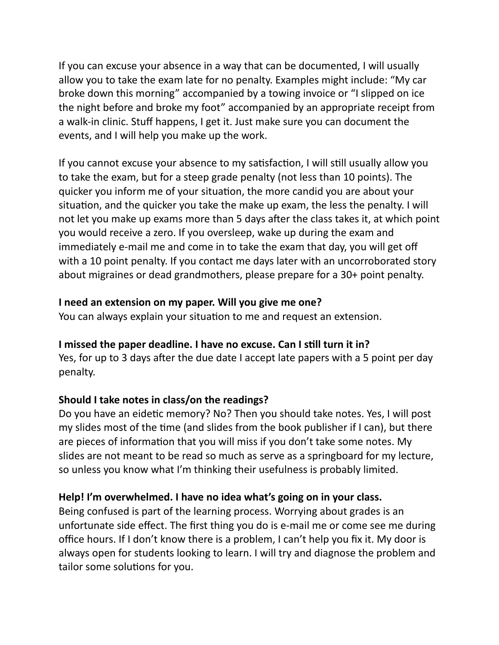If you can excuse your absence in a way that can be documented, I will usually allow you to take the exam late for no penalty. Examples might include: "My car broke down this morning" accompanied by a towing invoice or "I slipped on ice the night before and broke my foot" accompanied by an appropriate receipt from a walk-in clinic. Stuff happens, I get it. Just make sure you can document the events, and I will help you make up the work.

If you cannot excuse your absence to my satisfaction, I will still usually allow you to take the exam, but for a steep grade penalty (not less than 10 points). The quicker you inform me of your situation, the more candid you are about your situation, and the quicker you take the make up exam, the less the penalty. I will not let you make up exams more than 5 days after the class takes it, at which point you would receive a zero. If you oversleep, wake up during the exam and immediately e-mail me and come in to take the exam that day, you will get off with a 10 point penalty. If you contact me days later with an uncorroborated story about migraines or dead grandmothers, please prepare for a 30+ point penalty.

#### **I need an extension on my paper. Will you give me one?**

You can always explain your situation to me and request an extension.

#### **I missed the paper deadline. I have no excuse. Can I sll turn it in?**

Yes, for up to 3 days after the due date I accept late papers with a 5 point per day penalty.

#### **Should I take notes in class/on the readings?**

Do you have an eidetic memory? No? Then you should take notes. Yes, I will post my slides most of the time (and slides from the book publisher if  $\mathsf I$  can), but there are pieces of information that you will miss if you don't take some notes. My slides are not meant to be read so much as serve as a springboard for my lecture, so unless you know what I'm thinking their usefulness is probably limited.

#### **Help! I'm overwhelmed. I have no idea what's going on in your class.**

Being confused is part of the learning process. Worrying about grades is an unfortunate side effect. The first thing you do is e-mail me or come see me during office hours. If I don't know there is a problem, I can't help you fix it. My door is always open for students looking to learn. I will try and diagnose the problem and tailor some solutions for you.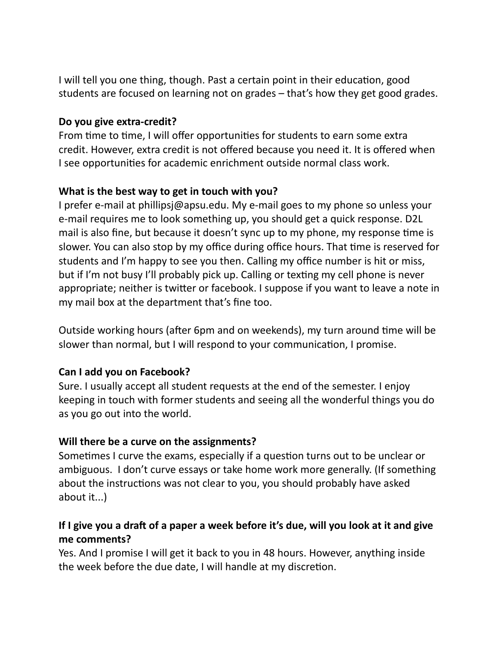I will tell you one thing, though. Past a certain point in their education, good students are focused on learning not on grades – that's how they get good grades.

#### **Do you give extra-credit?**

From time to time, I will offer opportunities for students to earn some extra credit. However, extra credit is not offered because you need it. It is offered when I see opportunities for academic enrichment outside normal class work.

#### **What is the best way to get in touch with you?**

I prefer e-mail at phillipsj@apsu.edu. My e-mail goes to my phone so unless your e-mail requires me to look something up, you should get a quick response. D2L mail is also fine, but because it doesn't sync up to my phone, my response time is slower. You can also stop by my office during office hours. That time is reserved for students and I'm happy to see you then. Calling my office number is hit or miss, but if I'm not busy I'll probably pick up. Calling or texting my cell phone is never appropriate; neither is twitter or facebook. I suppose if you want to leave a note in my mail box at the department that's fine too.

Outside working hours (after 6pm and on weekends), my turn around time will be slower than normal, but I will respond to your communication, I promise.

#### **Can I add you on Facebook?**

Sure. I usually accept all student requests at the end of the semester. I enjoy keeping in touch with former students and seeing all the wonderful things you do as you go out into the world.

#### **Will there be a curve on the assignments?**

Sometimes I curve the exams, especially if a question turns out to be unclear or ambiguous. I don't curve essays or take home work more generally. (If something about the instructions was not clear to you, you should probably have asked about it...)

#### If I give you a draft of a paper a week before it's due, will you look at it and give **me comments?**

Yes. And I promise I will get it back to you in 48 hours. However, anything inside the week before the due date, I will handle at my discretion.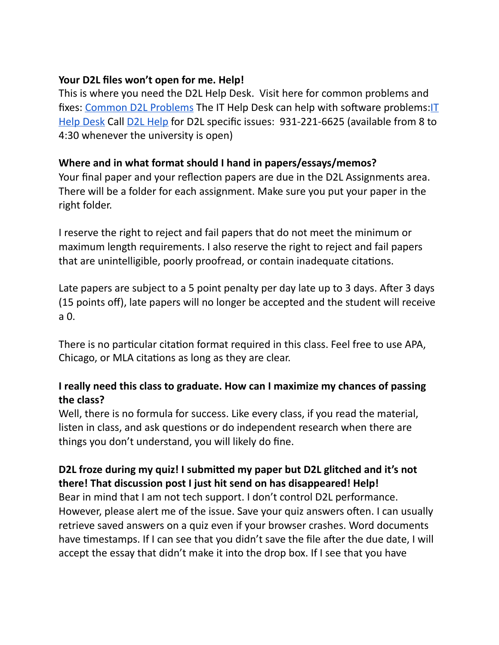#### **Your D2L files won't open for me. Help!**

This is where you need the D2L Help Desk. Visit here for common problems and fixes: Common D2L [Problems](http://www.apsu.edu/online/student-d2l-help) The IT Help Desk can help with software problems: IT Help [Desk](mailto:govstech@apsu.edu) Cal[l](mailto:online@apsu.edu) D2L [Help](mailto:online@apsu.edu) for D2L specific issues: 931-221-6625 (available from 8 to 4:30 whenever the university is open)

#### **Where and in what format should I hand in papers/essays/memos?**

Your final paper and your reflection papers are due in the D2L Assignments area. There will be a folder for each assignment. Make sure you put your paper in the right folder.

I reserve the right to reject and fail papers that do not meet the minimum or maximum length requirements. I also reserve the right to reject and fail papers that are unintelligible, poorly proofread, or contain inadequate citations.

Late papers are subject to a 5 point penalty per day late up to 3 days. After 3 days (15 points off), late papers will no longer be accepted and the student will receive a 0.

There is no particular citation format required in this class. Feel free to use APA, Chicago, or MLA citations as long as they are clear.

#### **I really need this class to graduate. How can I maximize my chances of passing the class?**

Well, there is no formula for success. Like every class, if you read the material, listen in class, and ask questions or do independent research when there are things you don't understand, you will likely do fine.

#### **D2L froze during my quiz! I submied my paper but D2L glitched and it's not there! That discussion post I just hit send on has disappeared! Help!**

Bear in mind that I am not tech support. I don't control D2L performance. However, please alert me of the issue. Save your quiz answers often. I can usually retrieve saved answers on a quiz even if your browser crashes. Word documents have timestamps. If I can see that you didn't save the file after the due date, I will accept the essay that didn't make it into the drop box. If I see that you have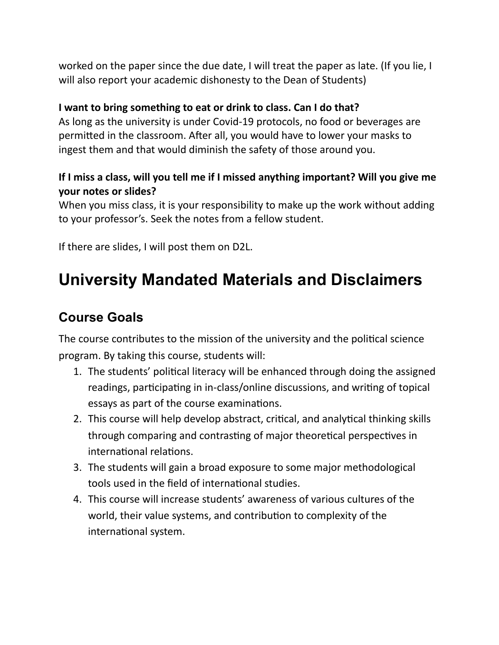worked on the paper since the due date, I will treat the paper as late. (If you lie, I will also report your academic dishonesty to the Dean of Students)

#### **I want to bring something to eat or drink to class. Can I do that?**

As long as the university is under Covid-19 protocols, no food or beverages are permitted in the classroom. After all, you would have to lower your masks to ingest them and that would diminish the safety of those around you.

#### **If I miss a class, will you tell me if I missed anything important? Will you give me your notes or slides?**

When you miss class, it is your responsibility to make up the work without adding to your professor's. Seek the notes from a fellow student.

If there are slides, I will post them on D2L.

## **University Mandated Materials and Disclaimers**

### **Course Goals**

The course contributes to the mission of the university and the political science program. By taking this course, students will:

- 1. The students' political literacy will be enhanced through doing the assigned readings, participating in in-class/online discussions, and writing of topical essays as part of the course examinations.
- 2. This course will help develop abstract, critical, and analytical thinking skills through comparing and contrasting of major theoretical perspectives in international relations.
- 3. The students will gain a broad exposure to some major methodological tools used in the field of international studies.
- 4. This course will increase students' awareness of various cultures of the world, their value systems, and contribution to complexity of the international system.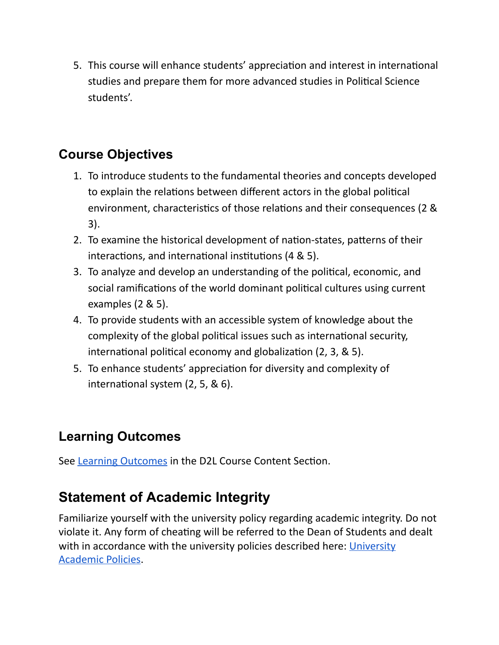5. This course will enhance students' appreciation and interest in international studies and prepare them for more advanced studies in Political Science students'.

### **Course Objectives**

- 1. To introduce students to the fundamental theories and concepts developed to explain the relations between different actors in the global political environment, characteristics of those relations and their consequences (2 & 3).
- 2. To examine the historical development of nation-states, patterns of their interactions, and international institutions  $(4 \& 5)$ .
- 3. To analyze and develop an understanding of the political, economic, and social ramifications of the world dominant political cultures using current examples (2 & 5).
- 4. To provide students with an accessible system of knowledge about the complexity of the global political issues such as international security, international political economy and globalization  $(2, 3, 8, 5)$ .
- 5. To enhance students' appreciation for diversity and complexity of international system  $(2, 5, 8, 6)$ .

### **Learning Outcomes**

See Learning [Outcomes](https://docs.google.com/document/d/1XM0gmY0B5svQfRor8gW8mQhlcpJ_0G8a7FNvZu6pTn4/edit?usp=sharing) in the D2L Course Content Section.

### **Statement of Academic Integrity**

Familiarize yourself with the university policy regarding academic integrity. Do not violate it. Any form of cheating will be referred to the Dean of Students and dealt with in accordance with the university policies described here[:](http://www.apsu.edu/sites/apsu.edu/files/policy/3035.pdf) [University](http://www.apsu.edu/sites/apsu.edu/files/policy/3035.pdf) [Academic](http://www.apsu.edu/sites/apsu.edu/files/policy/3035.pdf) Policies.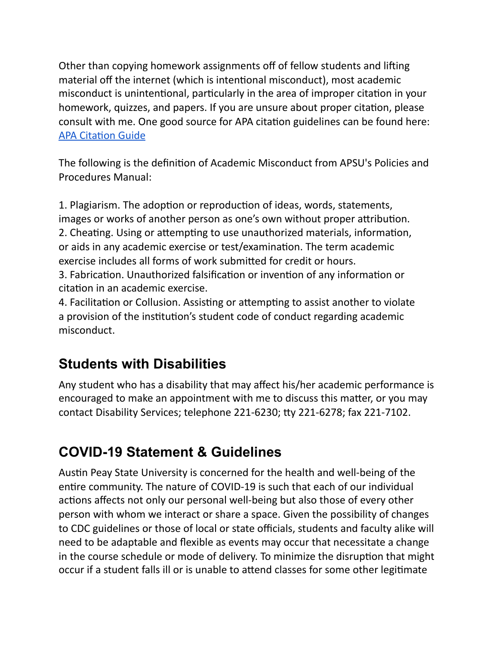Other than copying homework assignments off of fellow students and lifting material off the internet (which is intentional misconduct), most academic misconduct is unintentional, particularly in the area of improper citation in your homework, quizzes, and papers. If you are unsure about proper citation, please consult with me. One good source for APA citation guidelines can be found here: **APA Citation Guide** 

The following is the definition of Academic Misconduct from APSU's Policies and Procedures Manual:

1. Plagiarism. The adoption or reproduction of ideas, words, statements, images or works of another person as one's own without proper attribution. 2. Cheating. Using or attempting to use unauthorized materials, information, or aids in any academic exercise or test/examination. The term academic exercise includes all forms of work submitted for credit or hours.

3. Fabrication. Unauthorized falsification or invention of any information or citation in an academic exercise.

4. Facilitation or Collusion. Assisting or attempting to assist another to violate a provision of the institution's student code of conduct regarding academic misconduct.

### **Students with Disabilities**

Any student who has a disability that may affect his/her academic performance is encouraged to make an appointment with me to discuss this matter, or you may contact Disability Services; telephone 221-6230; tty 221-6278; fax 221-7102.

### **COVID-19 Statement & Guidelines**

Austin Peay State University is concerned for the health and well-being of the entire community. The nature of COVID-19 is such that each of our individual actions affects not only our personal well-being but also those of every other person with whom we interact or share a space. Given the possibility of changes to CDC guidelines or those of local or state officials, students and faculty alike will need to be adaptable and flexible as events may occur that necessitate a change in the course schedule or mode of delivery. To minimize the disruption that might occur if a student falls ill or is unable to attend classes for some other legitimate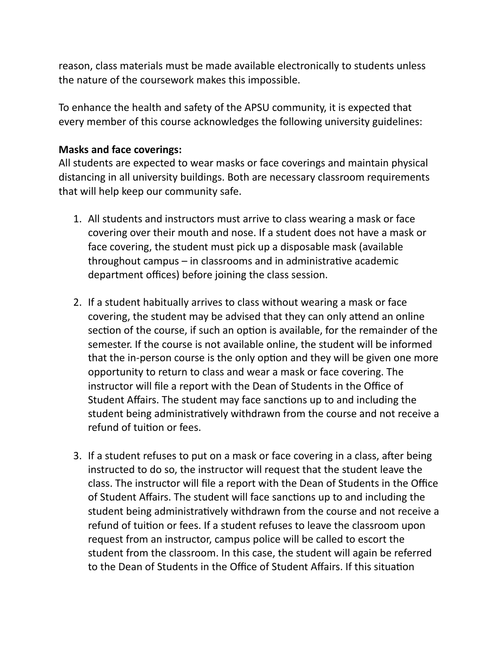reason, class materials must be made available electronically to students unless the nature of the coursework makes this impossible.

To enhance the health and safety of the APSU community, it is expected that every member of this course acknowledges the following university guidelines:

#### **Masks and face coverings:**

All students are expected to wear masks or face coverings and maintain physical distancing in all university buildings. Both are necessary classroom requirements that will help keep our community safe.

- 1. All students and instructors must arrive to class wearing a mask or face covering over their mouth and nose. If a student does not have a mask or face covering, the student must pick up a disposable mask (available throughout campus  $-$  in classrooms and in administrative academic department offices) before joining the class session.
- 2. If a student habitually arrives to class without wearing a mask or face covering, the student may be advised that they can only attend an online section of the course, if such an option is available, for the remainder of the semester. If the course is not available online, the student will be informed that the in-person course is the only option and they will be given one more opportunity to return to class and wear a mask or face covering. The instructor will file a report with the Dean of Students in the Office of Student Affairs. The student may face sanctions up to and including the student being administratively withdrawn from the course and not receive a refund of tuition or fees.
- 3. If a student refuses to put on a mask or face covering in a class, after being instructed to do so, the instructor will request that the student leave the class. The instructor will file a report with the Dean of Students in the Office of Student Affairs. The student will face sanctions up to and including the student being administratively withdrawn from the course and not receive a refund of tuition or fees. If a student refuses to leave the classroom upon request from an instructor, campus police will be called to escort the student from the classroom. In this case, the student will again be referred to the Dean of Students in the Office of Student Affairs. If this situation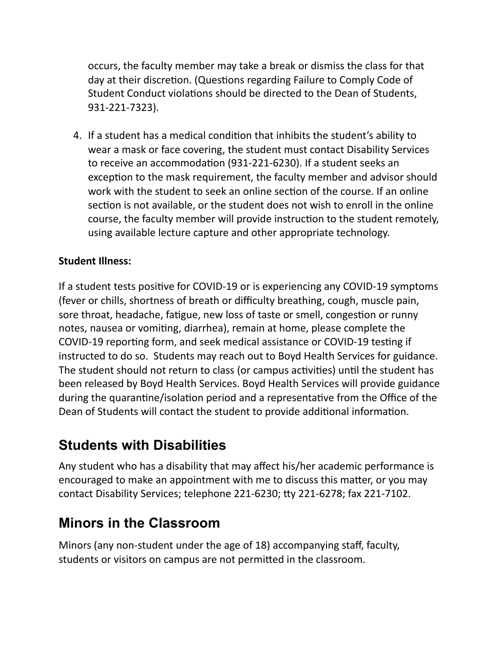occurs, the faculty member may take a break or dismiss the class for that day at their discretion. (Questions regarding Failure to Comply Code of Student Conduct violations should be directed to the Dean of Students, 931-221-7323).

4. If a student has a medical condition that inhibits the student's ability to wear a mask or face covering, the student must contact Disability Services to receive an accommodation (931-221-6230). If a student seeks an exception to the mask requirement, the faculty member and advisor should work with the student to seek an online section of the course. If an online section is not available, or the student does not wish to enroll in the online course, the faculty member will provide instruction to the student remotely, using available lecture capture and other appropriate technology.

#### **Student Illness:**

If a student tests positive for COVID-19 or is experiencing any COVID-19 symptoms (fever or chills, shortness of breath or difficulty breathing, cough, muscle pain, sore throat, headache, fatigue, new loss of taste or smell, congestion or runny notes, nausea or vomiting, diarrhea), remain at home, please complete the COVID-19 reporting form, and seek medical assistance or COVID-19 testing if instructed to do so. Students may reach out to Boyd Health Services for guidance. The student should not return to class (or campus activities) until the student has been released by Boyd Health Services. Boyd Health Services will provide guidance during the quarantine/isolation period and a representative from the Office of the Dean of Students will contact the student to provide additional information.

### **Students with Disabilities**

Any student who has a disability that may affect his/her academic performance is encouraged to make an appointment with me to discuss this matter, or you may contact Disability Services; telephone 221-6230; tty 221-6278; fax 221-7102.

### **Minors in the Classroom**

Minors (any non-student under the age of 18) accompanying staff, faculty, students or visitors on campus are not permitted in the classroom.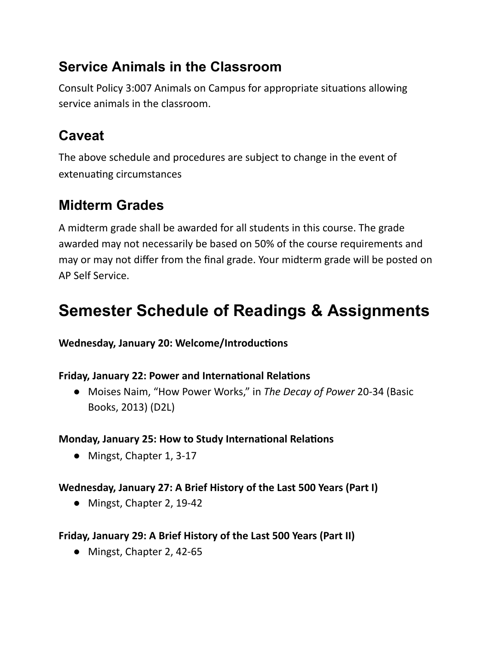### **Service Animals in the Classroom**

Consult Policy 3:007 Animals on Campus for appropriate situations allowing service animals in the classroom.

## **Caveat**

The above schedule and procedures are subject to change in the event of extenuating circumstances

### **Midterm Grades**

A midterm grade shall be awarded for all students in this course. The grade awarded may not necessarily be based on 50% of the course requirements and may or may not differ from the final grade. Your midterm grade will be posted on AP Self Service.

## **Semester Schedule of Readings & Assignments**

**Wednesday, January 20: Welcome/Introductions** 

#### **Friday, January 22: Power and International Relations**

● Moises Naim, "How Power Works," in *The Decay of Power* 20-34 (Basic Books, 2013) (D2L)

#### **Monday, January 25: How to Study International Relations**

**●** Mingst, Chapter 1, 3-17

#### **Wednesday, January 27: A Brief History of the Last 500 Years (Part I)**

**●** Mingst, Chapter 2, 19-42

#### **Friday, January 29: A Brief History of the Last 500 Years (Part II)**

● Mingst, Chapter 2, 42-65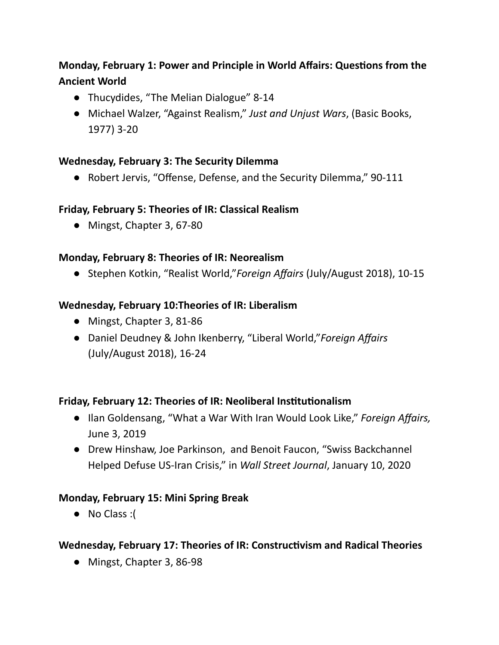#### **Monday, February 1: Power and Principle in World Affairs: Questions from the Ancient World**

- Thucydides, "The Melian Dialogue" 8-14
- Michael Walzer, "Against Realism," *Just and Unjust Wars*, (Basic Books, 1977) 3-20

#### **Wednesday, February 3: The Security Dilemma**

● Robert Jervis, "Offense, Defense, and the Security Dilemma," 90-111

#### **Friday, February 5: Theories of IR: Classical Realism**

**●** Mingst, Chapter 3, 67-80

#### **Monday, February 8: Theories of IR: Neorealism**

**●** Stephen Kotkin, "Realist World,"*Foreign Affairs* (July/August 2018), 10-15

#### **Wednesday, February 10:Theories of IR: Liberalism**

- **●** Mingst, Chapter 3, 81-86
- Daniel Deudney & John Ikenberry, "Liberal World,"*Foreign Affairs* (July/August 2018), 16-24

#### **Friday, February 12: Theories of IR: Neoliberal Instuonalism**

- Ilan Goldensang, "What a War With Iran Would Look Like," *Foreign Affairs,* June 3, 2019
- Drew Hinshaw, Joe Parkinson, and Benoit Faucon, "Swiss Backchannel Helped Defuse US-Iran Crisis," in *Wall Street Journal*, January 10, 2020

#### **Monday, February 15: Mini Spring Break**

● No Class :(

#### **Wednesday, February 17: Theories of IR: Constructivism and Radical Theories**

● Mingst, Chapter 3, 86-98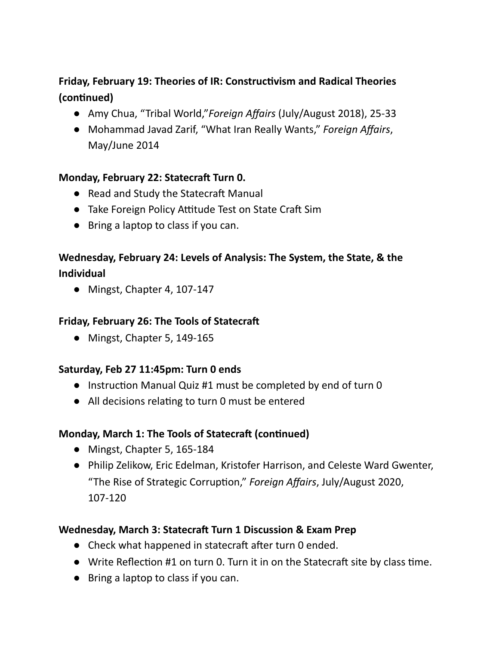#### **Friday, February 19: Theories of IR: Constructivism and Radical Theories** (continued)

- **●** Amy Chua, "Tribal World,"*Foreign Affairs* (July/August 2018), 25-33
- Mohammad Javad Zarif, "What Iran Really Wants," *Foreign Affairs*, May/June 2014

#### **Monday, February 22: Statecra Turn 0.**

- Read and Study the Statecraft Manual
- Take Foreign Policy Attitude Test on State Craft Sim
- Bring a laptop to class if you can.

#### **Wednesday, February 24: Levels of Analysis: The System, the State, & the Individual**

**●** Mingst, Chapter 4, 107-147

#### **Friday, February 26: The Tools of Statecra**

● Mingst, Chapter 5, 149-165

#### **Saturday, Feb 27 11:45pm: Turn 0 ends**

- $\bullet$  Instruction Manual Quiz #1 must be completed by end of turn 0
- All decisions relating to turn 0 must be entered

#### **Monday, March 1: The Tools of Statecraft (continued)**

- Mingst, Chapter 5, 165-184
- Philip Zelikow, Eric Edelman, Kristofer Harrison, and Celeste Ward Gwenter, "The Rise of Strategic Corruption," *Foreign Affairs*, July/August 2020, 107-120

#### **Wednesday, March 3: Statecra Turn 1 Discussion & Exam Prep**

- Check what happened in statecraft after turn 0 ended.
- $\bullet$  Write Reflection #1 on turn 0. Turn it in on the Statecraft site by class time.
- Bring a laptop to class if you can.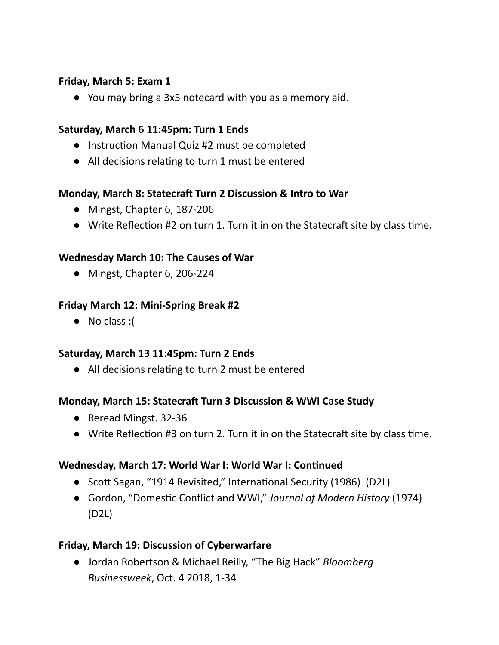#### **Friday, March 5: Exam 1**

● You may bring a 3x5 notecard with you as a memory aid.

#### **Saturday, March 6 11:45pm: Turn 1 Ends**

- Instruction Manual Quiz #2 must be completed
- All decisions relating to turn 1 must be entered

#### **Monday, March 8: Statecra Turn 2 Discussion & Intro to War**

- **●** Mingst, Chapter 6, 187-206
- $\bullet$  Write Reflection #2 on turn 1. Turn it in on the Statecraft site by class time.

#### **Wednesday March 10: The Causes of War**

**●** Mingst, Chapter 6, 206-224

#### **Friday March 12: Mini-Spring Break #2**

● No class :(

#### **Saturday, March 13 11:45pm: Turn 2 Ends**

• All decisions relating to turn 2 must be entered

#### **Monday, March 15: Statecra Turn 3 Discussion & WWI Case Study**

- Reread Mingst. 32-36
- $\bullet$  Write Reflection #3 on turn 2. Turn it in on the Statecraft site by class time.

#### **Wednesday, March 17: World War I: World War I: Connued**

- Scott Sagan, "1914 Revisited," International Security (1986) (D2L)
- Gordon, "Domestic Conflict and WWI," Journal of Modern History (1974) (D2L)

#### **Friday, March 19: Discussion of Cyberwarfare**

● Jordan Robertson & Michael Reilly, "The Big Hack" *Bloomberg Businessweek*, Oct. 4 2018, 1-34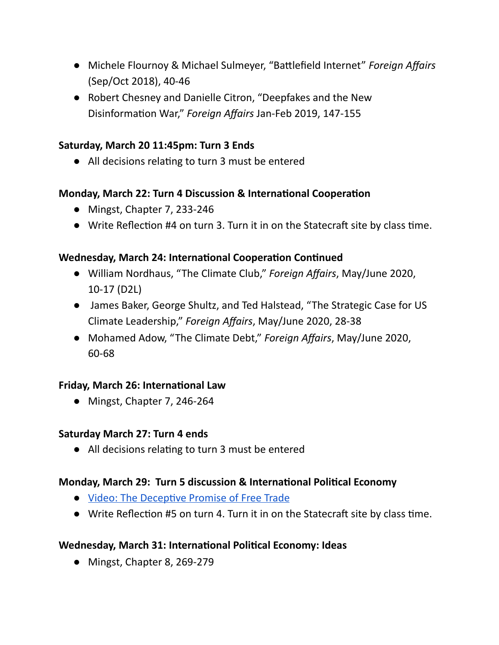- Michele Flournoy & Michael Sulmeyer, "Battlefield Internet" *Foreign Affairs* (Sep/Oct 2018), 40-46
- Robert Chesney and Danielle Citron, "Deepfakes and the New Disinformation War," Foreign Affairs Jan-Feb 2019, 147-155

#### **Saturday, March 20 11:45pm: Turn 3 Ends**

• All decisions relating to turn 3 must be entered

#### **Monday, March 22: Turn 4 Discussion & International Cooperation**

- **●** Mingst, Chapter 7, 233-246
- $\bullet$  Write Reflection #4 on turn 3. Turn it in on the Statecraft site by class time.

#### **Wednesday, March 24: International Cooperation Continued**

- William Nordhaus, "The Climate Club," *Foreign Affairs*, May/June 2020, 10-17 (D2L)
- James Baker, George Shultz, and Ted Halstead, "The Strategic Case for US Climate Leadership," *Foreign Affairs*, May/June 2020, 28-38
- Mohamed Adow, "The Climate Debt," *Foreign Affairs*, May/June 2020, 60-68

#### **Friday, March 26: International Law**

**●** Mingst, Chapter 7, 246-264

#### **Saturday March 27: Turn 4 ends**

• All decisions relating to turn 3 must be entered

#### **Monday, March 29: Turn 5 discussion & International Political Economy**

- Video: The Deceptive Promise of Free Trade
- Write Reflection #5 on turn 4. Turn it in on the Statecraft site by class time.

#### **Wednesday, March 31: International Political Economy: Ideas**

**●** Mingst, Chapter 8, 269-279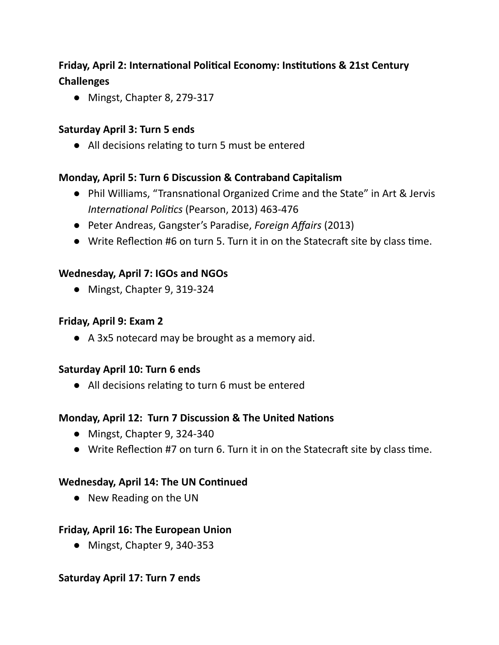#### **Friday, April 2: International Political Economy: Institutions & 21st Century Challenges**

**●** Mingst, Chapter 8, 279-317

#### **Saturday April 3: Turn 5 ends**

• All decisions relating to turn 5 must be entered

#### **Monday, April 5: Turn 6 Discussion & Contraband Capitalism**

- Phil Williams, "Transnational Organized Crime and the State" in Art & Jervis *International Politics* (Pearson, 2013) 463-476
- Peter Andreas, Gangster's Paradise, *Foreign Affairs* (2013)
- $\bullet$  Write Reflection #6 on turn 5. Turn it in on the Statecraft site by class time.

#### **Wednesday, April 7: IGOs and NGOs**

**●** Mingst, Chapter 9, 319-324

#### **Friday, April 9: Exam 2**

● A 3x5 notecard may be brought as a memory aid.

#### **Saturday April 10: Turn 6 ends**

• All decisions relating to turn 6 must be entered

#### **Monday, April 12: Turn 7 Discussion & The United Nations**

- **●** Mingst, Chapter 9, 324-340
- $\bullet$  Write Reflection #7 on turn 6. Turn it in on the Statecraft site by class time.

#### **Wednesday, April 14: The UN Continued**

● New Reading on the UN

#### **Friday, April 16: The European Union**

**●** Mingst, Chapter 9, 340-353

#### **Saturday April 17: Turn 7 ends**